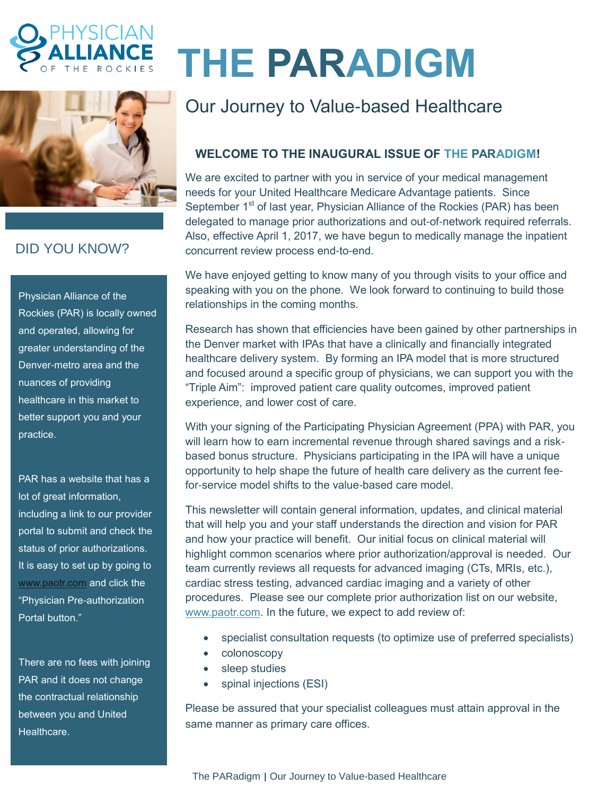



## DID YOU KNOW?

Physician Alliance of the Rockies (PAR) is locally owned and operated, allowing for greater understanding of the Denver-metro area and the nuances of providing healthcare in this market to better support you and your practice.

PAR has a website that has a lot of great information, including a link to our provider portal to submit and check the status of prior authorizations. It is easy to set up by going to [www.paotr.com](http://www.paotr.com/) and click the "Physician Pre-authorization Portal button."

There are no fees with joining PAR and it does not change the contractual relationship between you and United Healthcare.

# **THE PARADIGM**

# Our Journey to Value-based Healthcare

### **WELCOME TO THE INAUGURAL ISSUE OF THE PARADIGM!**

We are excited to partner with you in service of your medical management needs for your United Healthcare Medicare Advantage patients. Since September 1<sup>st</sup> of last year, Physician Alliance of the Rockies (PAR) has been delegated to manage prior authorizations and out-of-network required referrals. Also, effective April 1, 2017, we have begun to medically manage the inpatient concurrent review process end-to-end.

We have enjoyed getting to know many of you through visits to your office and speaking with you on the phone. We look forward to continuing to build those relationships in the coming months.

Research has shown that efficiencies have been gained by other partnerships in the Denver market with IPAs that have a clinically and financially integrated healthcare delivery system. By forming an IPA model that is more structured and focused around a specific group of physicians, we can support you with the "Triple Aim": improved patient care quality outcomes, improved patient experience, and lower cost of care.

With your signing of the Participating Physician Agreement (PPA) with PAR, you will learn how to earn incremental revenue through shared savings and a riskbased bonus structure. Physicians participating in the IPA will have a unique opportunity to help shape the future of health care delivery as the current feefor-service model shifts to the value-based care model.

This newsletter will contain general information, updates, and clinical material that will help you and your staff understands the direction and vision for PAR and how your practice will benefit. Our initial focus on clinical material will highlight common scenarios where prior authorization/approval is needed. Our team currently reviews all requests for advanced imaging (CTs, MRIs, etc.), cardiac stress testing, advanced cardiac imaging and a variety of other procedures. Please see our complete prior authorization list on our website, [www.paotr.com.](http://www.paotr.com/) In the future, we expect to add review of:

- specialist consultation requests (to optimize use of preferred specialists)
- colonoscopy
- sleep studies
- spinal injections (ESI)

Please be assured that your specialist colleagues must attain approval in the same manner as primary care offices.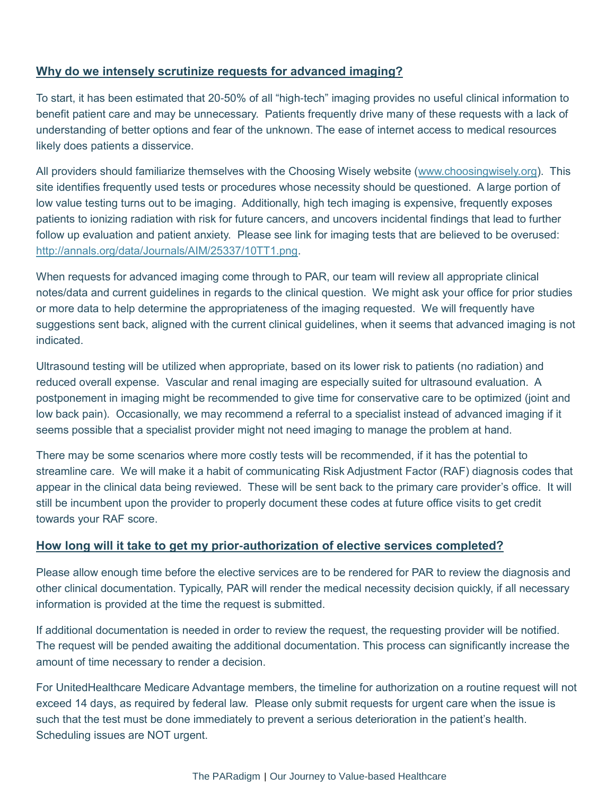#### **Why do we intensely scrutinize requests for advanced imaging?**

To start, it has been estimated that 20-50% of all "high-tech" imaging provides no useful clinical information to benefit patient care and may be unnecessary. Patients frequently drive many of these requests with a lack of understanding of better options and fear of the unknown. The ease of internet access to medical resources likely does patients a disservice.

All providers should familiarize themselves with the Choosing Wisely website [\(www.choosingwisely.org\)](http://www.choosingwisely.org/). This site identifies frequently used tests or procedures whose necessity should be questioned. A large portion of low value testing turns out to be imaging. Additionally, high tech imaging is expensive, frequently exposes patients to ionizing radiation with risk for future cancers, and uncovers incidental findings that lead to further follow up evaluation and patient anxiety. Please see link for imaging tests that are believed to be overused: [http://annals.org/data/Journals/AIM/25337/10TT1.png.](http://annals.org/data/Journals/AIM/25337/10TT1.png)

When requests for advanced imaging come through to PAR, our team will review all appropriate clinical notes/data and current guidelines in regards to the clinical question. We might ask your office for prior studies or more data to help determine the appropriateness of the imaging requested. We will frequently have suggestions sent back, aligned with the current clinical guidelines, when it seems that advanced imaging is not indicated.

Ultrasound testing will be utilized when appropriate, based on its lower risk to patients (no radiation) and reduced overall expense. Vascular and renal imaging are especially suited for ultrasound evaluation. A postponement in imaging might be recommended to give time for conservative care to be optimized (joint and low back pain). Occasionally, we may recommend a referral to a specialist instead of advanced imaging if it seems possible that a specialist provider might not need imaging to manage the problem at hand.

There may be some scenarios where more costly tests will be recommended, if it has the potential to streamline care. We will make it a habit of communicating Risk Adjustment Factor (RAF) diagnosis codes that appear in the clinical data being reviewed. These will be sent back to the primary care provider's office. It will still be incumbent upon the provider to properly document these codes at future office visits to get credit towards your RAF score.

#### **How long will it take to get my prior-authorization of elective services completed?**

Please allow enough time before the elective services are to be rendered for PAR to review the diagnosis and other clinical documentation. Typically, PAR will render the medical necessity decision quickly, if all necessary information is provided at the time the request is submitted.

If additional documentation is needed in order to review the request, the requesting provider will be notified. The request will be pended awaiting the additional documentation. This process can significantly increase the amount of time necessary to render a decision.

For UnitedHealthcare Medicare Advantage members, the timeline for authorization on a routine request will not exceed 14 days, as required by federal law. Please only submit requests for urgent care when the issue is such that the test must be done immediately to prevent a serious deterioration in the patient's health. Scheduling issues are NOT urgent.